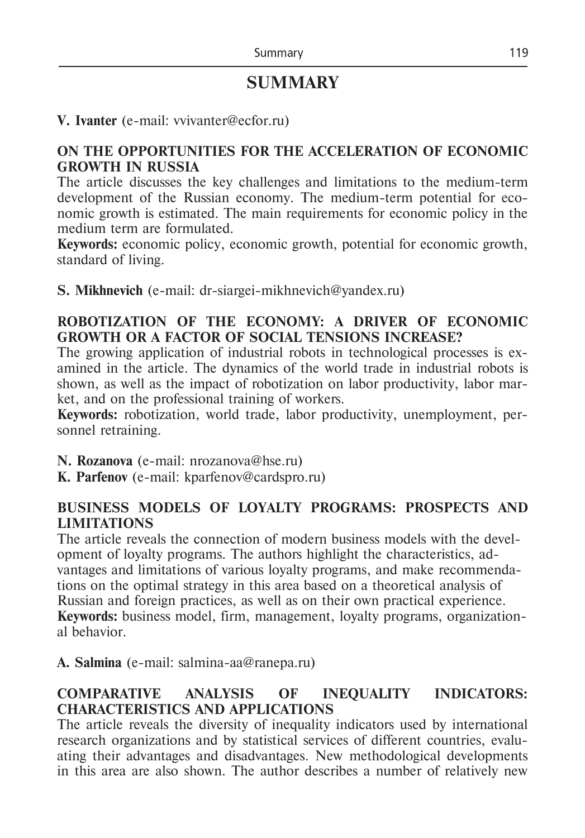# **SUMMARY**

### **V. Ivanter** (e-mail: vvivanter@ecfor.ru)

#### **ON THE OPPORTUNITIES FOR THE ACCELERATION OF ECONOMIC GROWTH IN RUSSIA**

The article discusses the key challenges and limitations to the medium-term development of the Russian economy. The medium-term potential for economic growth is estimated. The main requirements for economic policy in the medium term are formulated.

**Keywords:** economic policy, economic growth, potential for economic growth, standard of living.

**S. Mikhnevich** (e-mail: dr-siargei-mikhnevich@yandex.ru)

### **ROBOTIZATION OF THE ECONOMY: A DRIVER OF ECONOMIC GROWTH OR A FACTOR OF SOCIAL TENSIONS INCREASE?**

The growing application of industrial robots in technological processes is examined in the article. The dynamics of the world trade in industrial robots is shown, as well as the impact of robotization on labor productivity, labor market, and on the professional training of workers.

**Keywords:** robotization, world trade, labor productivity, unemployment, personnel retraining.

**N. Rozanova** (e-mail: nrozanova@hse.ru)

**K. Parfenov** (е-mail: kparfenov@cardspro.ru)

# **BUSINESS MODELS OF LOYALTY PROGRAMS: PROSPECTS AND LIMITATIONS**

The article reveals the connection of modern business models with the development of loyalty programs. The authors highlight the characteristics, advantages and limitations of various loyalty programs, and make recommendations on the optimal strategy in this area based on a theoretical analysis of Russian and foreign practices, as well as on their own practical experience. **Keywords:** business model, firm, management, loyalty programs, organizational behavior.

**А. Salmina** (e-mail: salmina-aa@ranepa.ru)

# **COMPARATIVE ANALYSIS OF INEQUALITY INDICATORS: CHARACTERISTICS AND APPLICATIONS**

The article reveals the diversity of inequality indicators used by international research organizations and by statistical services of different countries, evaluating their advantages and disadvantages. New methodological developments in this area are also shown. The author describes a number of relatively new